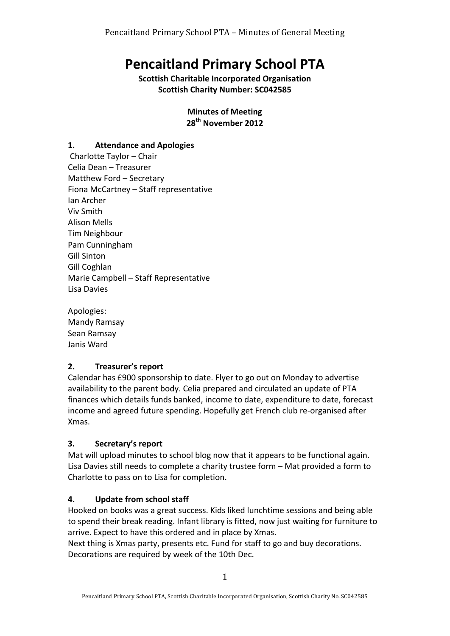# **Pencaitland Primary School PTA**

**Scottish Charitable Incorporated Organisation Scottish Charity Number: SC042585** 

> **Minutes of Meeting** 28<sup>th</sup> November 2012

#### **1. Attendance and Apologies**

Charlotte Taylor - Chair Celia Dean – Treasurer Matthew Ford - Secretary Fiona McCartney - Staff representative Ian Archer Viv Smith Alison Mells Tim Neighbour Pam Cunningham Gill Sinton Gill Coghlan Marie Campbell - Staff Representative Lisa Davies

Apologies: Mandy Ramsay Sean Ramsay Janis Ward

#### **2. Treasurer's report**

Calendar has £900 sponsorship to date. Flyer to go out on Monday to advertise availability to the parent body. Celia prepared and circulated an update of PTA finances which details funds banked, income to date, expenditure to date, forecast income and agreed future spending. Hopefully get French club re-organised after Xmas.

#### **3. Secretary's report**

Mat will upload minutes to school blog now that it appears to be functional again. Lisa Davies still needs to complete a charity trustee form - Mat provided a form to Charlotte to pass on to Lisa for completion.

#### **4.** Update from school staff

Hooked on books was a great success. Kids liked lunchtime sessions and being able to spend their break reading. Infant library is fitted, now just waiting for furniture to arrive. Expect to have this ordered and in place by Xmas.

Next thing is Xmas party, presents etc. Fund for staff to go and buy decorations. Decorations are required by week of the 10th Dec.